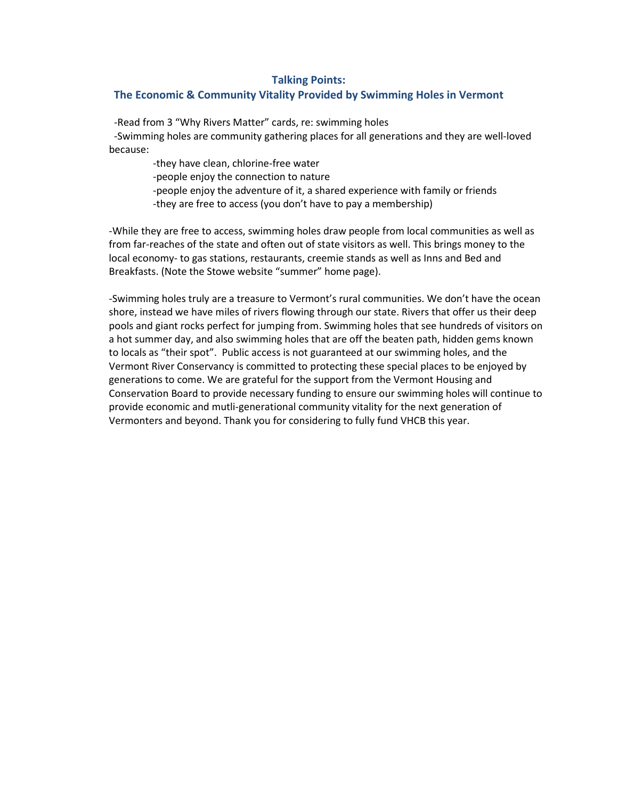## **Talking Points:**

## **The Economic & Community Vitality Provided by Swimming Holes in Vermont**

-Read from 3 "Why Rivers Matter" cards, re: swimming holes

 -Swimming holes are community gathering places for all generations and they are well-loved because:

-they have clean, chlorine-free water

- -people enjoy the connection to nature
- -people enjoy the adventure of it, a shared experience with family or friends -they are free to access (you don't have to pay a membership)

-While they are free to access, swimming holes draw people from local communities as well as from far-reaches of the state and often out of state visitors as well. This brings money to the local economy- to gas stations, restaurants, creemie stands as well as Inns and Bed and Breakfasts. (Note the Stowe website "summer" home page).

-Swimming holes truly are a treasure to Vermont's rural communities. We don't have the ocean shore, instead we have miles of rivers flowing through our state. Rivers that offer us their deep pools and giant rocks perfect for jumping from. Swimming holes that see hundreds of visitors on a hot summer day, and also swimming holes that are off the beaten path, hidden gems known to locals as "their spot". Public access is not guaranteed at our swimming holes, and the Vermont River Conservancy is committed to protecting these special places to be enjoyed by generations to come. We are grateful for the support from the Vermont Housing and Conservation Board to provide necessary funding to ensure our swimming holes will continue to provide economic and mutli-generational community vitality for the next generation of Vermonters and beyond. Thank you for considering to fully fund VHCB this year.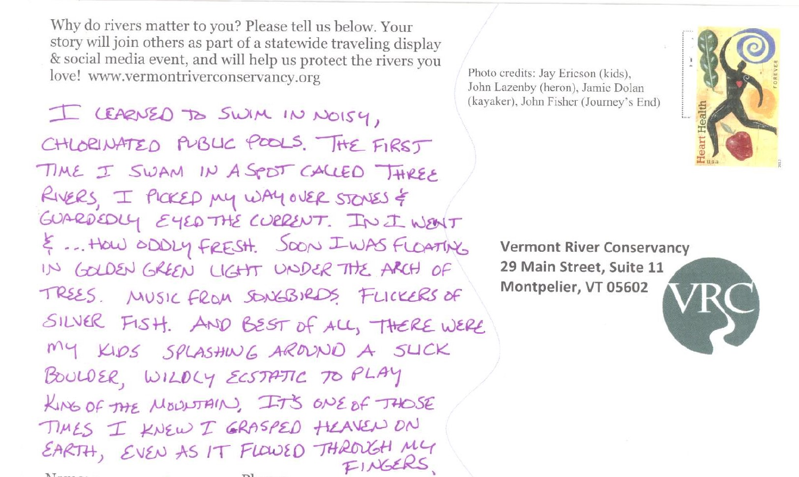Why do rivers matter to you? Please tell us below. Your story will join others as part of a statewide traveling display & social media event, and will help us protect the rivers you love! www.vermontriverconservancy.org

I CEARNED TO SWIM IN NOISY, CHLORINATED PUBLIC POOLS. THE FIRST TIME I SWAM IN A SPOT CALLED THREE RIVERS, I PICKED MY WAY OVER STONES & GUARDEDLY EYED THE CURRENT. IN I WENT & ... HOW ODDLY FRESH. SOON IWAS FLOATING IN GOLDEN GREEN LIGHT UNDER THE ARCH OF TREES. MUSIC FROM SONGBIRDS FLICKERS OF SILVER FISH. AND BEST OF ALL, THERE WERE MY KIDS SPLASHING AROUND A SLICK BOULDER, WILDLY ECSTATIC TO PLAY KING OF THE MOUNTAIN, IT'S ONE OF THOSE TIMES I KNEW I GRASPED HEAVEN ON EARTH, EVEN AS IT FLOWED THROUGH MY FINGERS  $\sim 1$ 

Photo credits: Jay Ericson (kids), John Lazenby (heron), Jamie Dolan (kayaker), John Fisher (Journey's End)



**Vermont River Conservancy** 29 Main Street, Suite 11 Montpelier, VT 05602